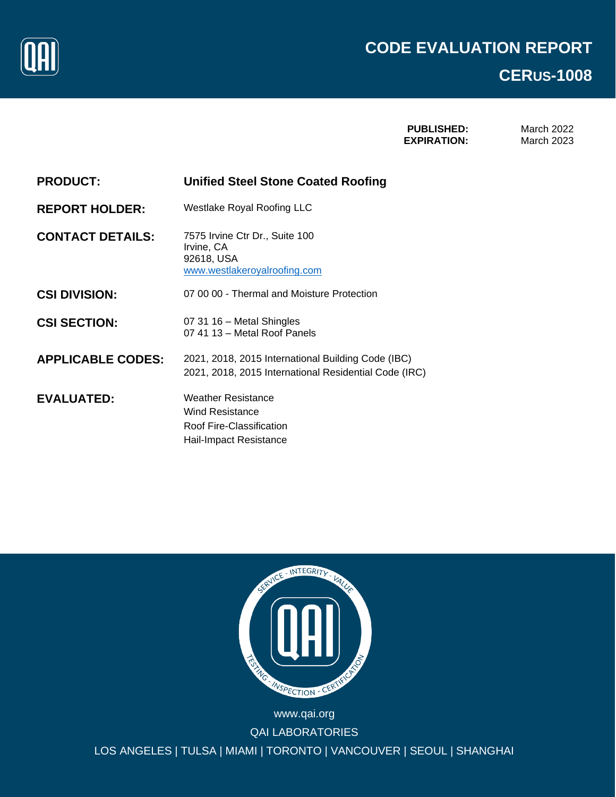

**PUBLISHED: EXPIRATION:**

March 2022 March 2023

| <b>PRODUCT:</b> | <b>Unified Steel Stone Coated Roofing</b> |
|-----------------|-------------------------------------------|
|                 |                                           |

**REPORT HOLDER:** Westlake Royal Roofing LLC

**CONTACT DETAILS:** 7575 Irvine Ctr Dr., Suite 100 Irvine, CA 92618, USA [www.westlakeroyalroofing.com](http://www.westlakeroyalroofing.com/)

**CSI DIVISION:** 07 00 00 - Thermal and Moisture Protection

**CSI SECTION:** 07 31 16 – Metal Shingles 07 41 13 – Metal Roof Panels

**APPLICABLE CODES:** 2021, 2018, 2015 International Building Code (IBC) 2021, 2018, 2015 International Residential Code (IRC)

**EVALUATED:** Weather Resistance Wind Resistance Roof Fire-Classification Hail-Impact Resistance



WWW.QAI.ORG LOS ANGELES | TULSA | MIAMI | TORONTO | VANCOUVER | SEOUL | SHANGHAI www.qai.org QAI LABORATORIES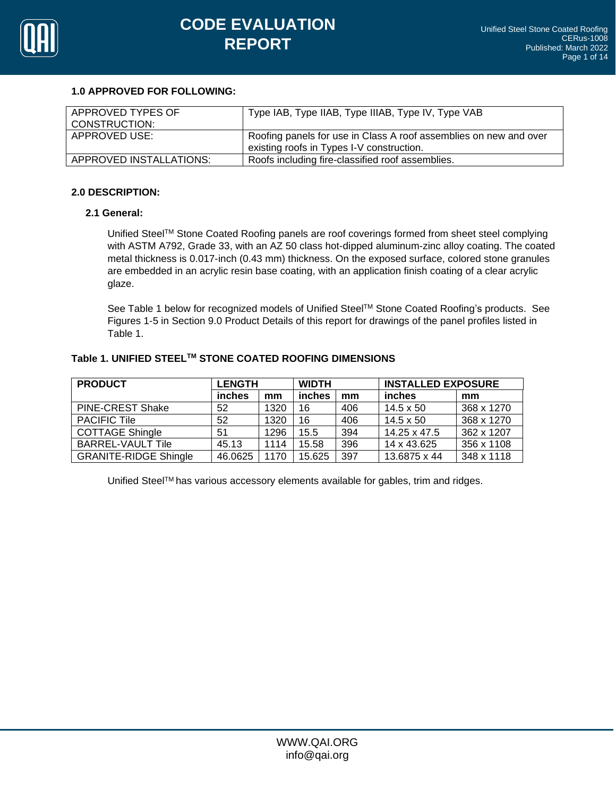

## **1.0 APPROVED FOR FOLLOWING:**

| APPROVED TYPES OF<br>CONSTRUCTION: | Type IAB, Type IIAB, Type IIIAB, Type IV, Type VAB                |
|------------------------------------|-------------------------------------------------------------------|
| APPROVED USE:                      | Roofing panels for use in Class A roof assemblies on new and over |
|                                    | existing roofs in Types I-V construction.                         |
| APPROVED INSTALLATIONS:            | Roofs including fire-classified roof assemblies.                  |

## **2.0 DESCRIPTION:**

## **2.1 General:**

Unified SteelTM Stone Coated Roofing panels are roof coverings formed from sheet steel complying with ASTM A792, Grade 33, with an AZ 50 class hot-dipped aluminum-zinc alloy coating. The coated metal thickness is 0.017-inch (0.43 mm) thickness. On the exposed surface, colored stone granules are embedded in an acrylic resin base coating, with an application finish coating of a clear acrylic glaze.

See Table 1 below for recognized models of Unified Steel™ Stone Coated Roofing's products. See Figures 1-5 in Section 9.0 Product Details of this report for drawings of the panel profiles listed in Table 1.

# **Table 1. UNIFIED STEELTM STONE COATED ROOFING DIMENSIONS**

| <b>PRODUCT</b>               | <b>LENGTH</b> |      | <b>WIDTH</b> |     | <b>INSTALLED EXPOSURE</b> |            |
|------------------------------|---------------|------|--------------|-----|---------------------------|------------|
|                              | inches        | mm   | inches       | mm  | inches                    | mm         |
| <b>PINE-CREST Shake</b>      | 52            | 1320 | 16           | 406 | $14.5 \times 50$          | 368 x 1270 |
| <b>PACIFIC Tile</b>          | 52            | 1320 | 16           | 406 | $14.5 \times 50$          | 368 x 1270 |
| <b>COTTAGE Shingle</b>       | 51            | 1296 | 15.5         | 394 | 14.25 x 47.5              | 362 x 1207 |
| BARREL-VAULT Tile            | 45.13         | 1114 | 15.58        | 396 | 14 x 43.625               | 356 x 1108 |
| <b>GRANITE-RIDGE Shingle</b> | 46.0625       | 1170 | 15.625       | 397 | 13.6875 x 44              | 348 x 1118 |

Unified Steel™ has various accessory elements available for gables, trim and ridges.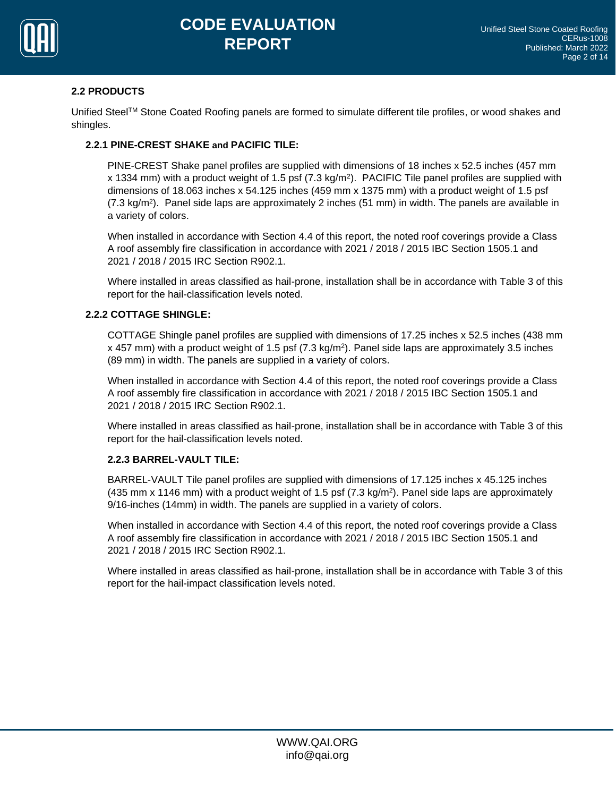

# **2.2 PRODUCTS**

Unified Steel™ Stone Coated Roofing panels are formed to simulate different tile profiles, or wood shakes and shingles.

# **2.2.1 PINE-CREST SHAKE and PACIFIC TILE:**

PINE-CREST Shake panel profiles are supplied with dimensions of 18 inches x 52.5 inches (457 mm x 1334 mm) with a product weight of 1.5 psf (7.3 kg/m<sup>2</sup> ). PACIFIC Tile panel profiles are supplied with dimensions of 18.063 inches x 54.125 inches (459 mm x 1375 mm) with a product weight of 1.5 psf (7.3 kg/m<sup>2</sup> ). Panel side laps are approximately 2 inches (51 mm) in width. The panels are available in a variety of colors.

When installed in accordance with Section 4.4 of this report, the noted roof coverings provide a Class A roof assembly fire classification in accordance with 2021 / 2018 / 2015 IBC Section 1505.1 and 2021 / 2018 / 2015 IRC Section R902.1.

Where installed in areas classified as hail-prone, installation shall be in accordance with Table 3 of this report for the hail-classification levels noted.

# **2.2.2 COTTAGE SHINGLE:**

COTTAGE Shingle panel profiles are supplied with dimensions of 17.25 inches x 52.5 inches (438 mm x 457 mm) with a product weight of 1.5 psf (7.3 kg/m<sup>2</sup>). Panel side laps are approximately 3.5 inches (89 mm) in width. The panels are supplied in a variety of colors.

When installed in accordance with Section 4.4 of this report, the noted roof coverings provide a Class A roof assembly fire classification in accordance with 2021 / 2018 / 2015 IBC Section 1505.1 and 2021 / 2018 / 2015 IRC Section R902.1.

Where installed in areas classified as hail-prone, installation shall be in accordance with Table 3 of this report for the hail-classification levels noted.

# **2.2.3 BARREL-VAULT TILE:**

BARREL-VAULT Tile panel profiles are supplied with dimensions of 17.125 inches x 45.125 inches (435 mm x 1146 mm) with a product weight of 1.5 psf (7.3 kg/m<sup>2</sup>). Panel side laps are approximately 9/16-inches (14mm) in width. The panels are supplied in a variety of colors.

When installed in accordance with Section 4.4 of this report, the noted roof coverings provide a Class A roof assembly fire classification in accordance with 2021 / 2018 / 2015 IBC Section 1505.1 and 2021 / 2018 / 2015 IRC Section R902.1.

Where installed in areas classified as hail-prone, installation shall be in accordance with Table 3 of this report for the hail-impact classification levels noted.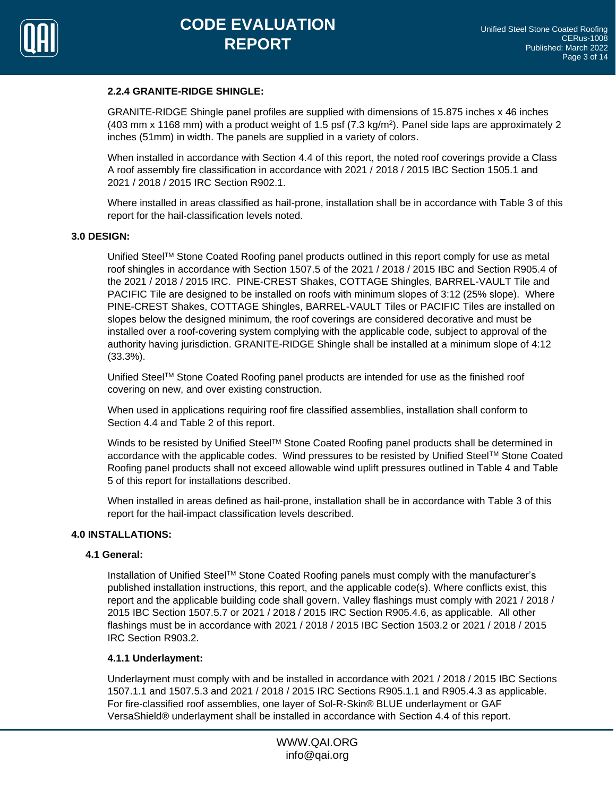

## **2.2.4 GRANITE-RIDGE SHINGLE:**

GRANITE-RIDGE Shingle panel profiles are supplied with dimensions of 15.875 inches x 46 inches  $(403 \text{ mm} \times 1168 \text{ mm})$  with a product weight of 1.5 psf  $(7.3 \text{ kg/m}^2)$ . Panel side laps are approximately 2 inches (51mm) in width. The panels are supplied in a variety of colors.

When installed in accordance with Section 4.4 of this report, the noted roof coverings provide a Class A roof assembly fire classification in accordance with 2021 / 2018 / 2015 IBC Section 1505.1 and 2021 / 2018 / 2015 IRC Section R902.1.

Where installed in areas classified as hail-prone, installation shall be in accordance with Table 3 of this report for the hail-classification levels noted.

#### **3.0 DESIGN:**

Unified Steel™ Stone Coated Roofing panel products outlined in this report comply for use as metal roof shingles in accordance with Section 1507.5 of the 2021 / 2018 / 2015 IBC and Section R905.4 of the 2021 / 2018 / 2015 IRC. PINE-CREST Shakes, COTTAGE Shingles, BARREL-VAULT Tile and PACIFIC Tile are designed to be installed on roofs with minimum slopes of 3:12 (25% slope). Where PINE-CREST Shakes, COTTAGE Shingles, BARREL-VAULT Tiles or PACIFIC Tiles are installed on slopes below the designed minimum, the roof coverings are considered decorative and must be installed over a roof-covering system complying with the applicable code, subject to approval of the authority having jurisdiction. GRANITE-RIDGE Shingle shall be installed at a minimum slope of 4:12 (33.3%).

Unified Steel™ Stone Coated Roofing panel products are intended for use as the finished roof covering on new, and over existing construction.

When used in applications requiring roof fire classified assemblies, installation shall conform to Section 4.4 and Table 2 of this report.

Winds to be resisted by Unified Steel™ Stone Coated Roofing panel products shall be determined in accordance with the applicable codes. Wind pressures to be resisted by Unified Steel™ Stone Coated Roofing panel products shall not exceed allowable wind uplift pressures outlined in Table 4 and Table 5 of this report for installations described.

When installed in areas defined as hail-prone, installation shall be in accordance with Table 3 of this report for the hail-impact classification levels described.

#### **4.0 INSTALLATIONS:**

#### **4.1 General:**

Installation of Unified SteelTM Stone Coated Roofing panels must comply with the manufacturer's published installation instructions, this report, and the applicable code(s). Where conflicts exist, this report and the applicable building code shall govern. Valley flashings must comply with 2021 / 2018 / 2015 IBC Section 1507.5.7 or 2021 / 2018 / 2015 IRC Section R905.4.6, as applicable. All other flashings must be in accordance with 2021 / 2018 / 2015 IBC Section 1503.2 or 2021 / 2018 / 2015 IRC Section R903.2.

#### **4.1.1 Underlayment:**

Underlayment must comply with and be installed in accordance with 2021 / 2018 / 2015 IBC Sections 1507.1.1 and 1507.5.3 and 2021 / 2018 / 2015 IRC Sections R905.1.1 and R905.4.3 as applicable. For fire-classified roof assemblies, one layer of Sol-R-Skin® BLUE underlayment or GAF VersaShield® underlayment shall be installed in accordance with Section 4.4 of this report.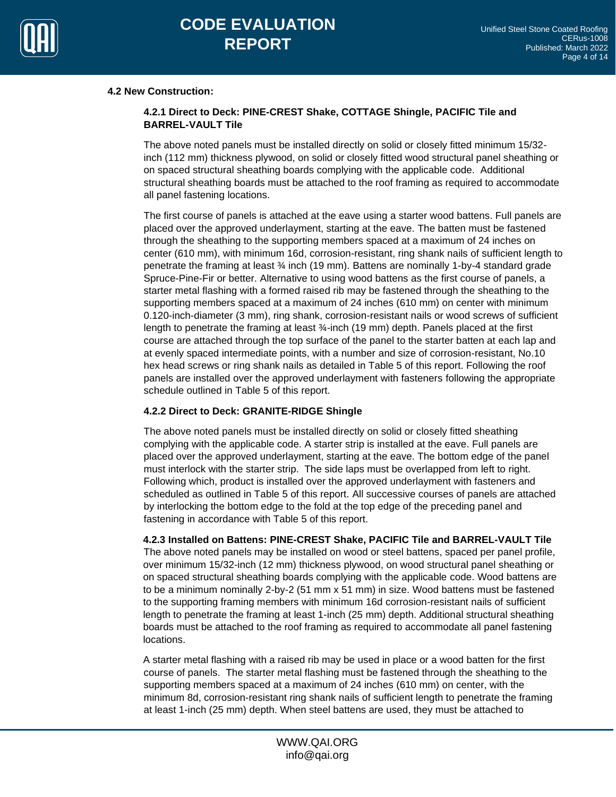

## **4.2 New Construction:**

# **4.2.1 Direct to Deck: PINE-CREST Shake, COTTAGE Shingle, PACIFIC Tile and BARREL-VAULT Tile**

The above noted panels must be installed directly on solid or closely fitted minimum 15/32 inch (112 mm) thickness plywood, on solid or closely fitted wood structural panel sheathing or on spaced structural sheathing boards complying with the applicable code. Additional structural sheathing boards must be attached to the roof framing as required to accommodate all panel fastening locations.

The first course of panels is attached at the eave using a starter wood battens. Full panels are placed over the approved underlayment, starting at the eave. The batten must be fastened through the sheathing to the supporting members spaced at a maximum of 24 inches on center (610 mm), with minimum 16d, corrosion-resistant, ring shank nails of sufficient length to penetrate the framing at least ¾ inch (19 mm). Battens are nominally 1-by-4 standard grade Spruce-Pine-Fir or better. Alternative to using wood battens as the first course of panels, a starter metal flashing with a formed raised rib may be fastened through the sheathing to the supporting members spaced at a maximum of 24 inches (610 mm) on center with minimum 0.120-inch-diameter (3 mm), ring shank, corrosion-resistant nails or wood screws of sufficient length to penetrate the framing at least ¾-inch (19 mm) depth. Panels placed at the first course are attached through the top surface of the panel to the starter batten at each lap and at evenly spaced intermediate points, with a number and size of corrosion-resistant, No.10 hex head screws or ring shank nails as detailed in Table 5 of this report. Following the roof panels are installed over the approved underlayment with fasteners following the appropriate schedule outlined in Table 5 of this report.

## **4.2.2 Direct to Deck: GRANITE-RIDGE Shingle**

The above noted panels must be installed directly on solid or closely fitted sheathing complying with the applicable code. A starter strip is installed at the eave. Full panels are placed over the approved underlayment, starting at the eave. The bottom edge of the panel must interlock with the starter strip. The side laps must be overlapped from left to right. Following which, product is installed over the approved underlayment with fasteners and scheduled as outlined in Table 5 of this report. All successive courses of panels are attached by interlocking the bottom edge to the fold at the top edge of the preceding panel and fastening in accordance with Table 5 of this report.

**4.2.3 Installed on Battens: PINE-CREST Shake, PACIFIC Tile and BARREL-VAULT Tile** The above noted panels may be installed on wood or steel battens, spaced per panel profile, over minimum 15/32-inch (12 mm) thickness plywood, on wood structural panel sheathing or on spaced structural sheathing boards complying with the applicable code. Wood battens are to be a minimum nominally 2-by-2 (51 mm x 51 mm) in size. Wood battens must be fastened to the supporting framing members with minimum 16d corrosion-resistant nails of sufficient length to penetrate the framing at least 1-inch (25 mm) depth. Additional structural sheathing boards must be attached to the roof framing as required to accommodate all panel fastening locations.

A starter metal flashing with a raised rib may be used in place or a wood batten for the first course of panels. The starter metal flashing must be fastened through the sheathing to the supporting members spaced at a maximum of 24 inches (610 mm) on center, with the minimum 8d, corrosion-resistant ring shank nails of sufficient length to penetrate the framing at least 1-inch (25 mm) depth. When steel battens are used, they must be attached to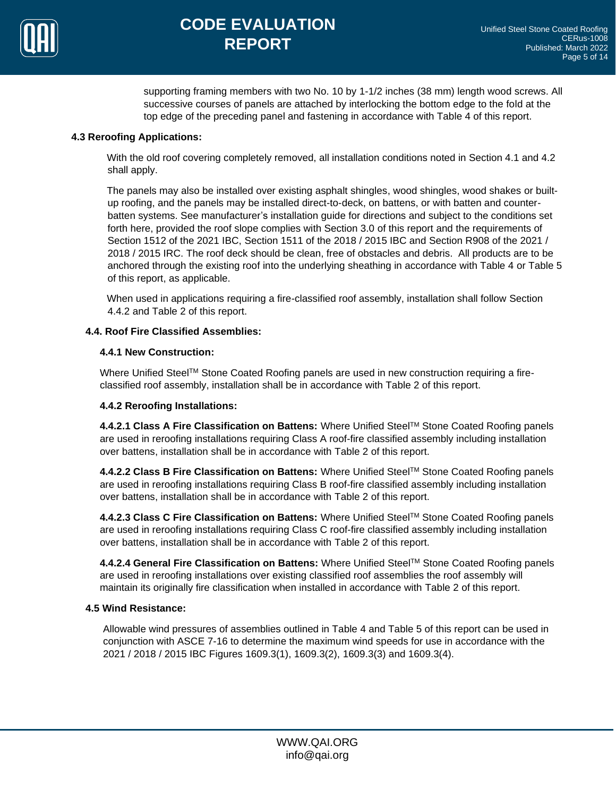

supporting framing members with two No. 10 by 1-1/2 inches (38 mm) length wood screws. All successive courses of panels are attached by interlocking the bottom edge to the fold at the top edge of the preceding panel and fastening in accordance with Table 4 of this report.

# **4.3 Reroofing Applications:**

With the old roof covering completely removed, all installation conditions noted in Section 4.1 and 4.2 shall apply.

The panels may also be installed over existing asphalt shingles, wood shingles, wood shakes or builtup roofing, and the panels may be installed direct-to-deck, on battens, or with batten and counterbatten systems. See manufacturer's installation guide for directions and subject to the conditions set forth here, provided the roof slope complies with Section 3.0 of this report and the requirements of Section 1512 of the 2021 IBC, Section 1511 of the 2018 / 2015 IBC and Section R908 of the 2021 / 2018 / 2015 IRC. The roof deck should be clean, free of obstacles and debris. All products are to be anchored through the existing roof into the underlying sheathing in accordance with Table 4 or Table 5 of this report, as applicable.

When used in applications requiring a fire-classified roof assembly, installation shall follow Section 4.4.2 and Table 2 of this report.

# **4.4. Roof Fire Classified Assemblies:**

## **4.4.1 New Construction:**

Where Unified Steel™ Stone Coated Roofing panels are used in new construction requiring a fireclassified roof assembly, installation shall be in accordance with Table 2 of this report.

## **4.4.2 Reroofing Installations:**

**4.4.2.1 Class A Fire Classification on Battens:** Where Unified SteelTM Stone Coated Roofing panels are used in reroofing installations requiring Class A roof-fire classified assembly including installation over battens, installation shall be in accordance with Table 2 of this report.

**4.4.2.2 Class B Fire Classification on Battens:** Where Unified SteelTM Stone Coated Roofing panels are used in reroofing installations requiring Class B roof-fire classified assembly including installation over battens, installation shall be in accordance with Table 2 of this report.

**4.4.2.3 Class C Fire Classification on Battens:** Where Unified SteelTM Stone Coated Roofing panels are used in reroofing installations requiring Class C roof-fire classified assembly including installation over battens, installation shall be in accordance with Table 2 of this report.

**4.4.2.4 General Fire Classification on Battens:** Where Unified SteelTM Stone Coated Roofing panels are used in reroofing installations over existing classified roof assemblies the roof assembly will maintain its originally fire classification when installed in accordance with Table 2 of this report.

## **4.5 Wind Resistance:**

Allowable wind pressures of assemblies outlined in Table 4 and Table 5 of this report can be used in conjunction with ASCE 7-16 to determine the maximum wind speeds for use in accordance with the 2021 / 2018 / 2015 IBC Figures 1609.3(1), 1609.3(2), 1609.3(3) and 1609.3(4).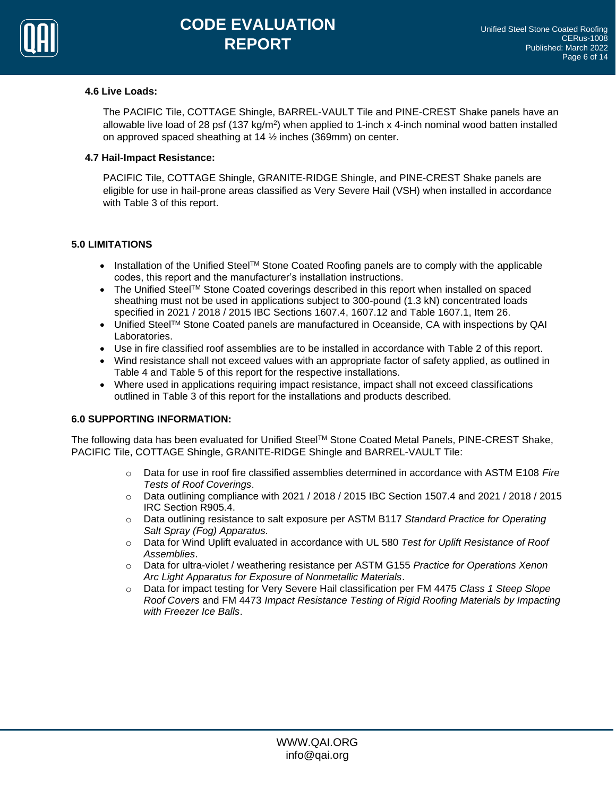

## **4.6 Live Loads:**

The PACIFIC Tile, COTTAGE Shingle, BARREL-VAULT Tile and PINE-CREST Shake panels have an allowable live load of 28 psf (137 kg/m<sup>2</sup>) when applied to 1-inch x 4-inch nominal wood batten installed on approved spaced sheathing at 14 ½ inches (369mm) on center.

## **4.7 Hail-Impact Resistance:**

PACIFIC Tile, COTTAGE Shingle, GRANITE-RIDGE Shingle, and PINE-CREST Shake panels are eligible for use in hail-prone areas classified as Very Severe Hail (VSH) when installed in accordance with Table 3 of this report.

# **5.0 LIMITATIONS**

- Installation of the Unified Steel<sup>TM</sup> Stone Coated Roofing panels are to comply with the applicable codes, this report and the manufacturer's installation instructions.
- The Unified SteelTM Stone Coated coverings described in this report when installed on spaced sheathing must not be used in applications subject to 300-pound (1.3 kN) concentrated loads specified in 2021 / 2018 / 2015 IBC Sections 1607.4, 1607.12 and Table 1607.1, Item 26.
- Unified SteelTM Stone Coated panels are manufactured in Oceanside, CA with inspections by QAI Laboratories.
- Use in fire classified roof assemblies are to be installed in accordance with Table 2 of this report.
- Wind resistance shall not exceed values with an appropriate factor of safety applied, as outlined in Table 4 and Table 5 of this report for the respective installations.
- Where used in applications requiring impact resistance, impact shall not exceed classifications outlined in Table 3 of this report for the installations and products described.

## **6.0 SUPPORTING INFORMATION:**

The following data has been evaluated for Unified Steel<sup>™</sup> Stone Coated Metal Panels, PINE-CREST Shake, PACIFIC Tile, COTTAGE Shingle, GRANITE-RIDGE Shingle and BARREL-VAULT Tile:

- o Data for use in roof fire classified assemblies determined in accordance with ASTM E108 *Fire Tests of Roof Coverings*.
- $\circ$  Data outlining compliance with 2021 / 2018 / 2015 IBC Section 1507.4 and 2021 / 2018 / 2015 IRC Section R905.4.
- o Data outlining resistance to salt exposure per ASTM B117 *Standard Practice for Operating Salt Spray (Fog) Apparatus.*
- o Data for Wind Uplift evaluated in accordance with UL 580 *Test for Uplift Resistance of Roof Assemblies*.
- o Data for ultra-violet / weathering resistance per ASTM G155 *Practice for Operations Xenon Arc Light Apparatus for Exposure of Nonmetallic Materials*.
- o Data for impact testing for Very Severe Hail classification per FM 4475 *Class 1 Steep Slope Roof Covers* and FM 4473 *Impact Resistance Testing of Rigid Roofing Materials by Impacting with Freezer Ice Balls*.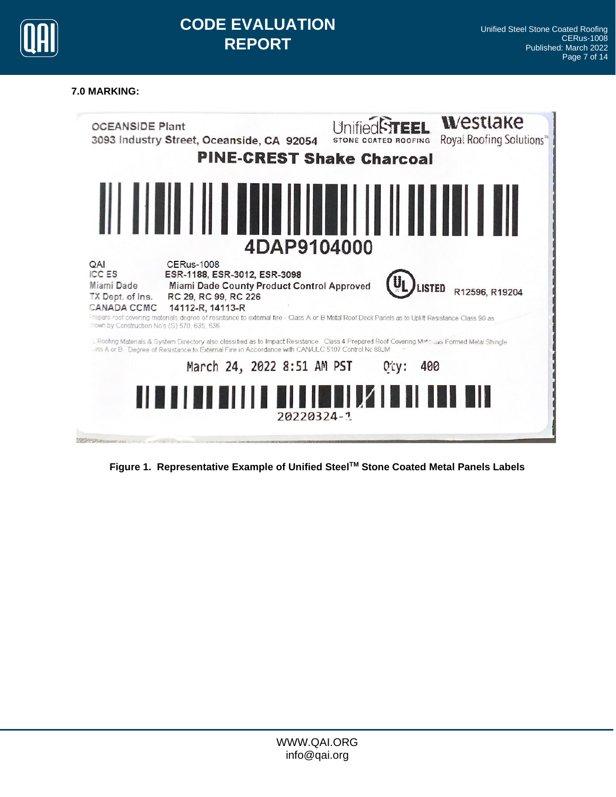

# **7.0 MARKING:**



**Figure 1. Representative Example of Unified SteelTM Stone Coated Metal Panels Labels**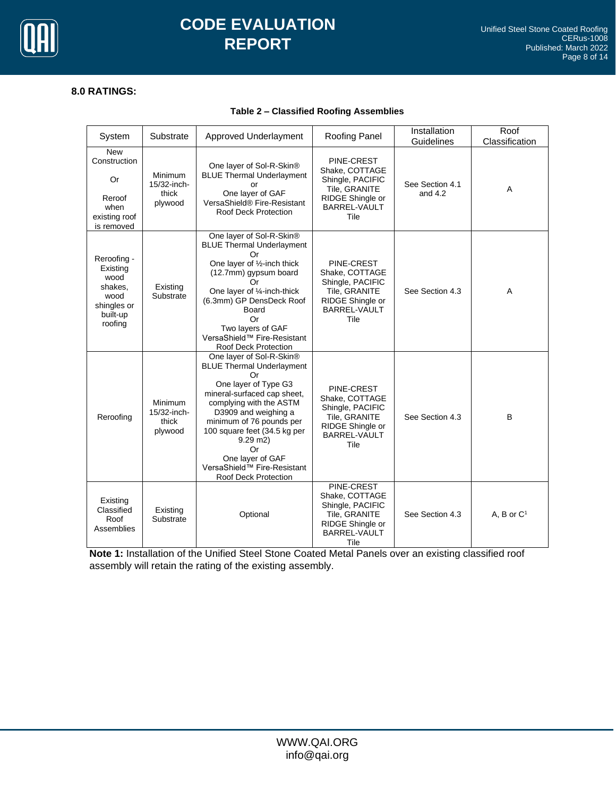

# **CODE EVALUATION REPORT**

# **8.0 RATINGS:**

## **Table 2 – Classified Roofing Assemblies**

| System                                                                                   | Substrate                                  | Approved Underlayment                                                                                                                                                                                                                                                                                                                   | Roofing Panel                                                                                                 | Installation<br>Guidelines   | Roof<br>Classification |
|------------------------------------------------------------------------------------------|--------------------------------------------|-----------------------------------------------------------------------------------------------------------------------------------------------------------------------------------------------------------------------------------------------------------------------------------------------------------------------------------------|---------------------------------------------------------------------------------------------------------------|------------------------------|------------------------|
| <b>New</b><br>Construction<br>Or<br>Reroof<br>when<br>existing roof<br>is removed        | Minimum<br>15/32-inch-<br>thick<br>plywood | One layer of Sol-R-Skin®<br><b>BLUE Thermal Underlayment</b><br>or<br>One layer of GAF<br>VersaShield® Fire-Resistant<br><b>Roof Deck Protection</b>                                                                                                                                                                                    | PINE-CREST<br>Shake, COTTAGE<br>Shingle, PACIFIC<br>Tile, GRANITE<br>RIDGE Shingle or<br>BARREL-VAULT<br>Tile | See Section 4.1<br>and $4.2$ | Α                      |
| Reroofing -<br>Existing<br>wood<br>shakes.<br>wood<br>shingles or<br>built-up<br>roofing | Existing<br>Substrate                      | One layer of Sol-R-Skin®<br><b>BLUE Thermal Underlayment</b><br>Or<br>One layer of 1/2-inch thick<br>(12.7mm) gypsum board<br>Or<br>One layer of 1/4-inch-thick<br>(6.3mm) GP DensDeck Roof<br>Board<br>Or<br>Two layers of GAF<br>VersaShield™ Fire-Resistant<br><b>Roof Deck Protection</b>                                           | PINE-CREST<br>Shake, COTTAGE<br>Shingle, PACIFIC<br>Tile, GRANITE<br>RIDGE Shingle or<br>BARREL-VAULT<br>Tile | See Section 4.3              | Α                      |
| Reroofing                                                                                | Minimum<br>15/32-inch-<br>thick<br>plywood | One layer of Sol-R-Skin®<br><b>BLUE Thermal Underlayment</b><br>Or<br>One layer of Type G3<br>mineral-surfaced cap sheet,<br>complying with the ASTM<br>D3909 and weighing a<br>minimum of 76 pounds per<br>100 square feet (34.5 kg per<br>$9.29$ m2)<br>Or<br>One layer of GAF<br>VersaShield™ Fire-Resistant<br>Roof Deck Protection | PINE-CREST<br>Shake, COTTAGE<br>Shingle, PACIFIC<br>Tile, GRANITE<br>RIDGE Shingle or<br>BARREL-VAULT<br>Tile | See Section 4.3              | B                      |
| Existing<br>Classified<br>Roof<br>Assemblies                                             | Existing<br>Substrate                      | Optional                                                                                                                                                                                                                                                                                                                                | PINE-CREST<br>Shake, COTTAGE<br>Shingle, PACIFIC<br>Tile, GRANITE<br>RIDGE Shingle or<br>BARREL-VAULT<br>Tile | See Section 4.3              | A, B or $C1$           |

**Note 1:** Installation of the Unified Steel Stone Coated Metal Panels over an existing classified roof assembly will retain the rating of the existing assembly.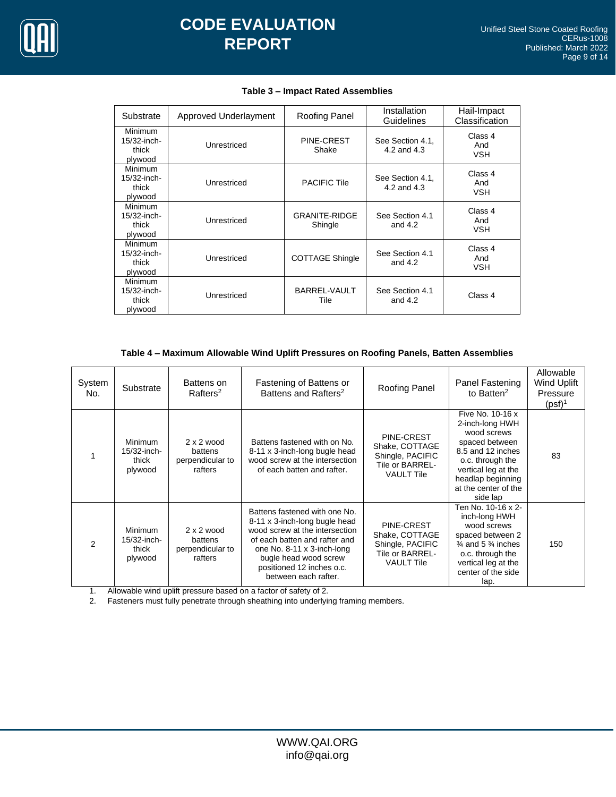

| Substrate                                         | Approved Underlayment | Roofing Panel                   | Installation<br>Guidelines      | Hail-Impact<br>Classification |
|---------------------------------------------------|-----------------------|---------------------------------|---------------------------------|-------------------------------|
| Minimum<br>15/32-inch-<br>thick<br>plywood        | Unrestriced           | PINE-CREST<br>Shake             | See Section 4.1,<br>4.2 and 4.3 | Class 4<br>And<br><b>VSH</b>  |
| <b>Minimum</b><br>15/32-inch-<br>thick<br>plywood | Unrestriced           | <b>PACIFIC Tile</b>             | See Section 4.1.<br>4.2 and 4.3 | Class 4<br>And<br><b>VSH</b>  |
| <b>Minimum</b><br>15/32-inch-<br>thick<br>plywood | Unrestriced           | <b>GRANITE-RIDGE</b><br>Shingle | See Section 4.1<br>and $4.2$    | Class 4<br>And<br><b>VSH</b>  |
| <b>Minimum</b><br>15/32-inch-<br>thick<br>plywood | Unrestriced           | <b>COTTAGE Shingle</b>          | See Section 4.1<br>and $4.2$    | Class 4<br>And<br><b>VSH</b>  |
| Minimum<br>15/32-inch-<br>thick<br>plywood        | Unrestriced           | BARREL-VAULT<br>Tile            | See Section 4.1<br>and $4.2$    | Class 4                       |

#### **Table 3 – Impact Rated Assemblies**

#### **Table 4 – Maximum Allowable Wind Uplift Pressures on Roofing Panels, Batten Assemblies**

| System<br>No.  | Substrate                                         | Battens on<br>$R$ afters <sup>2</sup>                       | Fastening of Battens or<br>Battens and Rafters <sup>2</sup>                                                                                                                                                                                   | Roofing Panel                                                                            | Panel Fastening<br>to Batten $2$                                                                                                                                                              | Allowable<br>Wind Uplift<br>Pressure<br>$(psf)^1$ |
|----------------|---------------------------------------------------|-------------------------------------------------------------|-----------------------------------------------------------------------------------------------------------------------------------------------------------------------------------------------------------------------------------------------|------------------------------------------------------------------------------------------|-----------------------------------------------------------------------------------------------------------------------------------------------------------------------------------------------|---------------------------------------------------|
|                | <b>Minimum</b><br>15/32-inch-<br>thick<br>plywood | $2 \times 2$ wood<br>battens<br>perpendicular to<br>rafters | Battens fastened with on No.<br>8-11 x 3-inch-long bugle head<br>wood screw at the intersection<br>of each batten and rafter.                                                                                                                 | PINE-CREST<br>Shake, COTTAGE<br>Shingle, PACIFIC<br>Tile or BARREL-<br><b>VAULT Tile</b> | Five No. 10-16 x<br>2-inch-long HWH<br>wood screws<br>spaced between<br>8.5 and 12 inches<br>o.c. through the<br>vertical leg at the<br>headlap beginning<br>at the center of the<br>side lap | 83                                                |
| $\mathfrak{p}$ | <b>Minimum</b><br>15/32-inch-<br>thick<br>plywood | $2 \times 2$ wood<br>battens<br>perpendicular to<br>rafters | Battens fastened with one No.<br>8-11 x 3-inch-long bugle head<br>wood screw at the intersection<br>of each batten and rafter and<br>one No. 8-11 x 3-inch-long<br>bugle head wood screw<br>positioned 12 inches o.c.<br>between each rafter. | PINE-CREST<br>Shake, COTTAGE<br>Shingle, PACIFIC<br>Tile or BARREL-<br><b>VAULT Tile</b> | Ten No. 10-16 x 2-<br>inch-long HWH<br>wood screws<br>spaced between 2<br>$\frac{3}{4}$ and 5 $\frac{3}{4}$ inches<br>o.c. through the<br>vertical leg at the<br>center of the side<br>lap.   | 150                                               |

1. Allowable wind uplift pressure based on a factor of safety of 2.<br>2. Fasteners must fully penetrate through sheathing into underlying

Fasteners must fully penetrate through sheathing into underlying framing members.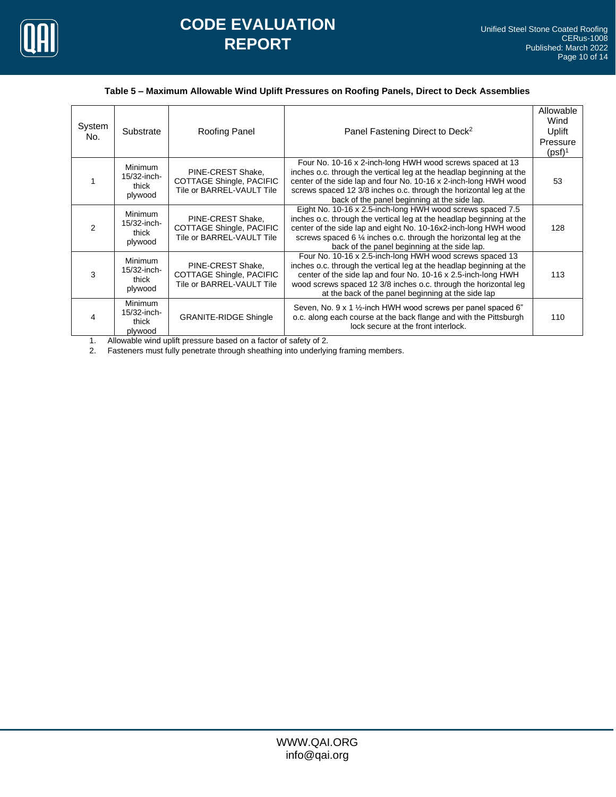

#### **Table 5 – Maximum Allowable Wind Uplift Pressures on Roofing Panels, Direct to Deck Assemblies**

| System<br>No. | Substrate                                            | Roofing Panel                                                                     | Panel Fastening Direct to Deck <sup>2</sup>                                                                                                                                                                                                                                                                                 | Allowable<br>Wind<br>Uplift<br>Pressure<br>$(psf)^1$ |
|---------------|------------------------------------------------------|-----------------------------------------------------------------------------------|-----------------------------------------------------------------------------------------------------------------------------------------------------------------------------------------------------------------------------------------------------------------------------------------------------------------------------|------------------------------------------------------|
|               | <b>Minimum</b><br>15/32-inch-<br>thick<br>plywood    | PINE-CREST Shake,<br><b>COTTAGE Shingle, PACIFIC</b><br>Tile or BARREL-VAULT Tile | Four No. 10-16 x 2-inch-long HWH wood screws spaced at 13<br>inches o.c. through the vertical leg at the headlap beginning at the<br>center of the side lap and four No. 10-16 x 2-inch-long HWH wood<br>screws spaced 12 3/8 inches o.c. through the horizontal leg at the<br>back of the panel beginning at the side lap. | 53                                                   |
| 2             | <b>Minimum</b><br>$15/32$ -inch-<br>thick<br>plywood | PINE-CREST Shake.<br><b>COTTAGE Shingle, PACIFIC</b><br>Tile or BARREL-VAULT Tile | Eight No. 10-16 x 2.5-inch-long HWH wood screws spaced 7.5<br>inches o.c. through the vertical leg at the headlap beginning at the<br>center of the side lap and eight No. 10-16x2-inch-long HWH wood<br>screws spaced 6 % inches o.c. through the horizontal leg at the<br>back of the panel beginning at the side lap.    | 128                                                  |
| 3             | <b>Minimum</b><br>$15/32$ -inch-<br>thick<br>plywood | PINE-CREST Shake,<br>COTTAGE Shingle, PACIFIC<br>Tile or BARREL-VAULT Tile        | Four No. 10-16 x 2.5-inch-long HWH wood screws spaced 13<br>inches o.c. through the vertical leg at the headlap beginning at the<br>center of the side lap and four No. 10-16 x 2.5-inch-long HWH<br>wood screws spaced 12 3/8 inches o.c. through the horizontal leg<br>at the back of the panel beginning at the side lap | 113                                                  |
| 4             | <b>Minimum</b><br>15/32-inch-<br>thick<br>plywood    | <b>GRANITE-RIDGE Shingle</b>                                                      | Seven, No. 9 x 1 1/2-inch HWH wood screws per panel spaced 6"<br>o.c. along each course at the back flange and with the Pittsburgh<br>lock secure at the front interlock.                                                                                                                                                   | 110                                                  |

1. Allowable wind uplift pressure based on a factor of safety of 2.<br>2. Fasteners must fully penetrate through sheathing into underlying

Fasteners must fully penetrate through sheathing into underlying framing members.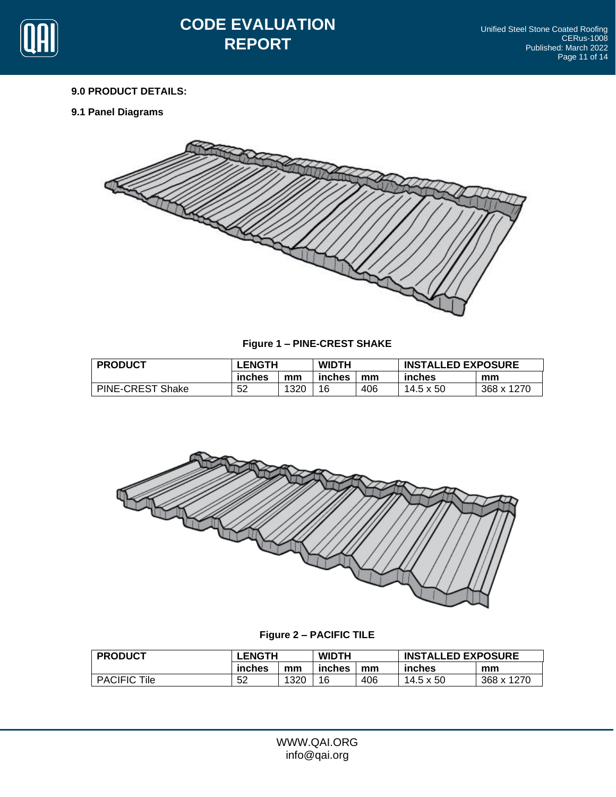

## **9.0 PRODUCT DETAILS:**

**9.1 Panel Diagrams**



**Figure 1 – PINE-CREST SHAKE**

| <b>PRODUCT</b>          | <b>LENGTH</b> |      | <b>WIDTH</b> |     | <b>INSTALLED EXPOSURE</b> |            |
|-------------------------|---------------|------|--------------|-----|---------------------------|------------|
|                         | inches        | mm   | inches       | mm  | inches                    | mm         |
| <b>PINE-CREST Shake</b> | 52            | 1320 | 16           | 406 | 14.5 x 50                 | 368 x 1270 |



**Figure 2 – PACIFIC TILE**

| <b>PRODUCT</b>         | LENGTH |      | <b>WIDTH</b> |     | <b>INSTALLED EXPOSURE</b> |            |
|------------------------|--------|------|--------------|-----|---------------------------|------------|
|                        | inches | mm   | inches       | mm  | inches                    | mm         |
| <b>PACIFIC</b><br>Tile | 52     | 1320 | 16           | 406 | 14.5 x 50                 | 368 x 1270 |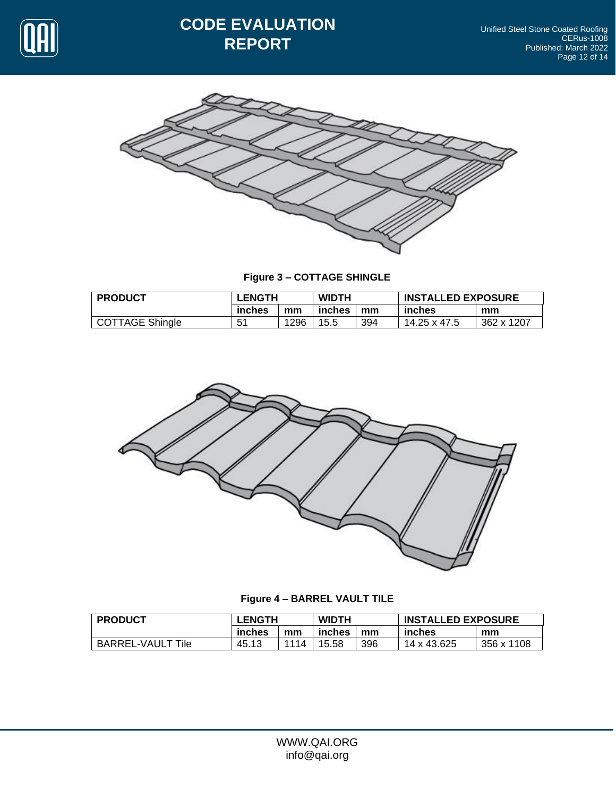

# **CODE EVALUATION REPORT**



**Figure 3 – COTTAGE SHINGLE**

| <b>PRODUCT</b>         | <b>LENGTH</b> |      | <b>WIDTH</b> |     | <b>INSTALLED EXPOSURE</b> |            |
|------------------------|---------------|------|--------------|-----|---------------------------|------------|
|                        | inches        | mm   | inches       | mm  | inches                    | mm         |
| <b>COTTAGE Shingle</b> | 51            | 1296 | 15.5         | 394 | 14.25 x 47.5              | 362 x 1207 |



**Figure 4 – BARREL VAULT TILE**

| <b>PRODUCT</b>           | <b>LENGTH</b> |      | <b>WIDTH</b> |     | <b>INSTALLED EXPOSURE</b> |            |
|--------------------------|---------------|------|--------------|-----|---------------------------|------------|
|                          | inches        | mm   | inches       | mm  | inches                    | mm         |
| <b>BARREL-VAULT Tile</b> | 45.13         | 1114 | 15.58        | 396 | 14 x 43.625               | 356 x 1108 |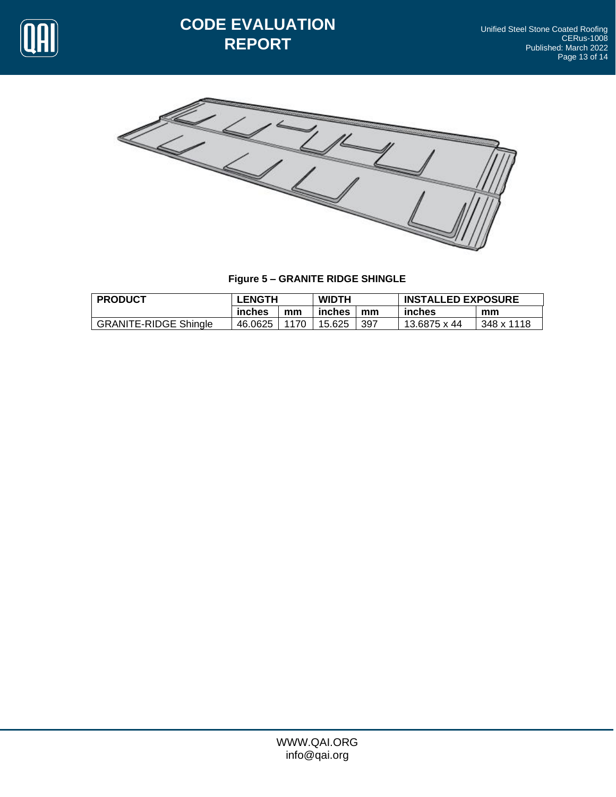

# **CODE EVALUATION REPORT**



**Figure 5 – GRANITE RIDGE SHINGLE**

| <b>PRODUCT</b>               | <b>LENGTH</b> |      | <b>WIDTH</b> |     | <b>INSTALLED EXPOSURE</b> |            |  |
|------------------------------|---------------|------|--------------|-----|---------------------------|------------|--|
|                              | inches        | mm   | inches       | mm  | inches                    | mm         |  |
| <b>GRANITE-RIDGE Shingle</b> | 46.0625       | 1170 | 15.625       | 397 | 13.6875 x 44              | 348 x 1118 |  |